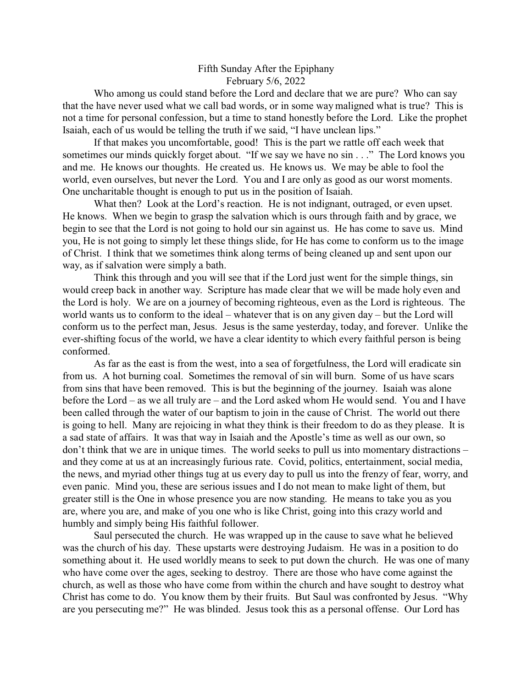## Fifth Sunday After the Epiphany February 5/6, 2022

Who among us could stand before the Lord and declare that we are pure? Who can say that the have never used what we call bad words, or in some way maligned what is true? This is not a time for personal confession, but a time to stand honestly before the Lord. Like the prophet Isaiah, each of us would be telling the truth if we said, "I have unclean lips."

If that makes you uncomfortable, good! This is the part we rattle off each week that sometimes our minds quickly forget about. "If we say we have no sin . . ." The Lord knows you and me. He knows our thoughts. He created us. He knows us. We may be able to fool the world, even ourselves, but never the Lord. You and I are only as good as our worst moments. One uncharitable thought is enough to put us in the position of Isaiah.

What then? Look at the Lord's reaction. He is not indignant, outraged, or even upset. He knows. When we begin to grasp the salvation which is ours through faith and by grace, we begin to see that the Lord is not going to hold our sin against us. He has come to save us. Mind you, He is not going to simply let these things slide, for He has come to conform us to the image of Christ. I think that we sometimes think along terms of being cleaned up and sent upon our way, as if salvation were simply a bath.

Think this through and you will see that if the Lord just went for the simple things, sin would creep back in another way. Scripture has made clear that we will be made holy even and the Lord is holy. We are on a journey of becoming righteous, even as the Lord is righteous. The world wants us to conform to the ideal – whatever that is on any given day – but the Lord will conform us to the perfect man, Jesus. Jesus is the same yesterday, today, and forever. Unlike the ever-shifting focus of the world, we have a clear identity to which every faithful person is being conformed.

As far as the east is from the west, into a sea of forgetfulness, the Lord will eradicate sin from us. A hot burning coal. Sometimes the removal of sin will burn. Some of us have scars from sins that have been removed. This is but the beginning of the journey. Isaiah was alone before the Lord – as we all truly are – and the Lord asked whom He would send. You and I have been called through the water of our baptism to join in the cause of Christ. The world out there is going to hell. Many are rejoicing in what they think is their freedom to do as they please. It is a sad state of affairs. It was that way in Isaiah and the Apostle's time as well as our own, so don't think that we are in unique times. The world seeks to pull us into momentary distractions – and they come at us at an increasingly furious rate. Covid, politics, entertainment, social media, the news, and myriad other things tug at us every day to pull us into the frenzy of fear, worry, and even panic. Mind you, these are serious issues and I do not mean to make light of them, but greater still is the One in whose presence you are now standing. He means to take you as you are, where you are, and make of you one who is like Christ, going into this crazy world and humbly and simply being His faithful follower.

Saul persecuted the church. He was wrapped up in the cause to save what he believed was the church of his day. These upstarts were destroying Judaism. He was in a position to do something about it. He used worldly means to seek to put down the church. He was one of many who have come over the ages, seeking to destroy. There are those who have come against the church, as well as those who have come from within the church and have sought to destroy what Christ has come to do. You know them by their fruits. But Saul was confronted by Jesus. "Why are you persecuting me?" He was blinded. Jesus took this as a personal offense. Our Lord has